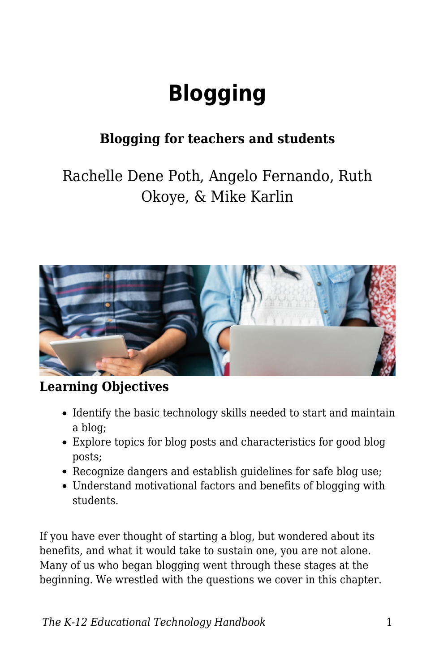# **Blogging**

## **Blogging for teachers and students**

## Rachelle Dene Poth, Angelo Fernando, Ruth Okoye, & Mike Karlin



#### **Learning Objectives**

- Identify the basic technology skills needed to start and maintain a blog;
- Explore topics for blog posts and characteristics for good blog posts;
- Recognize dangers and establish guidelines for safe blog use;
- Understand motivational factors and benefits of blogging with students.

If you have ever thought of starting a blog, but wondered about its benefits, and what it would take to sustain one, you are not alone. Many of us who began blogging went through these stages at the beginning. We wrestled with the questions we cover in this chapter.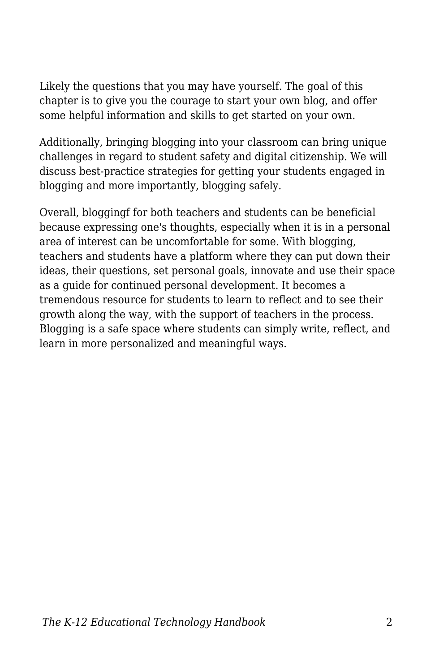Likely the questions that you may have yourself. The goal of this chapter is to give you the courage to start your own blog, and offer some helpful information and skills to get started on your own.

Additionally, bringing blogging into your classroom can bring unique challenges in regard to student safety and digital citizenship. We will discuss best-practice strategies for getting your students engaged in blogging and more importantly, blogging safely.

Overall, bloggingf for both teachers and students can be beneficial because expressing one's thoughts, especially when it is in a personal area of interest can be uncomfortable for some. With blogging, teachers and students have a platform where they can put down their ideas, their questions, set personal goals, innovate and use their space as a guide for continued personal development. It becomes a tremendous resource for students to learn to reflect and to see their growth along the way, with the support of teachers in the process. Blogging is a safe space where students can simply write, reflect, and learn in more personalized and meaningful ways.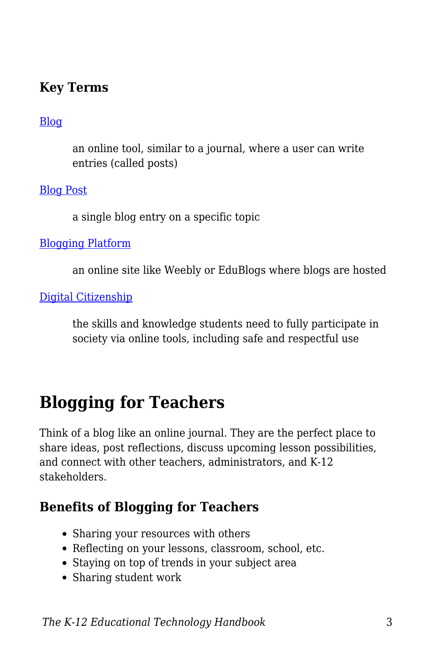#### **Key Terms**

#### [Blog](https://edtechbooks.org/k12handbook/glossary#blog)

an online tool, similar to a journal, where a user can write entries (called posts)

[Blog Post](https://edtechbooks.org/k12handbook/glossary#blog_post)

a single blog entry on a specific topic

[Blogging Platform](https://edtechbooks.org/k12handbook/glossary#blogging_platform)

an online site like Weebly or EduBlogs where blogs are hosted

[Digital Citizenship](https://edtechbooks.org/k12handbook/glossary#digital_citizenship)

the skills and knowledge students need to fully participate in society via online tools, including safe and respectful use

## **Blogging for Teachers**

Think of a blog like an online journal. They are the perfect place to share ideas, post reflections, discuss upcoming lesson possibilities, and connect with other teachers, administrators, and K-12 stakeholders.

### **Benefits of Blogging for Teachers**

- Sharing your resources with others
- Reflecting on your lessons, classroom, school, etc.
- Staying on top of trends in your subject area
- Sharing student work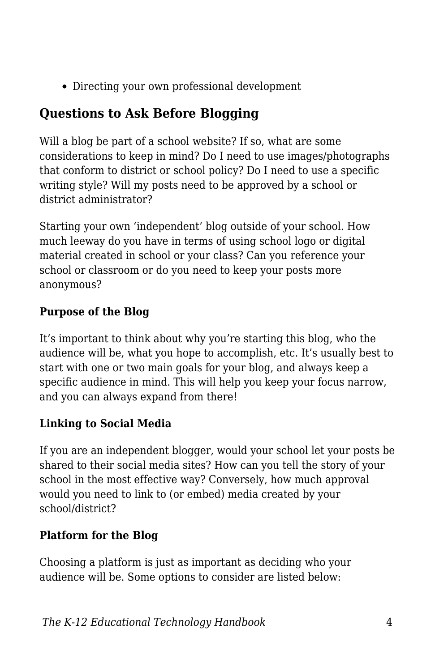Directing your own professional development

## **Questions to Ask Before Blogging**

Will a blog be part of a school website? If so, what are some considerations to keep in mind? Do I need to use images/photographs that conform to district or school policy? Do I need to use a specific writing style? Will my posts need to be approved by a school or district administrator?

Starting your own 'independent' blog outside of your school. How much leeway do you have in terms of using school logo or digital material created in school or your class? Can you reference your school or classroom or do you need to keep your posts more anonymous?

#### **Purpose of the Blog**

It's important to think about why you're starting this blog, who the audience will be, what you hope to accomplish, etc. It's usually best to start with one or two main goals for your blog, and always keep a specific audience in mind. This will help you keep your focus narrow, and you can always expand from there!

#### **Linking to Social Media**

If you are an independent blogger, would your school let your posts be shared to their social media sites? How can you tell the story of your school in the most effective way? Conversely, how much approval would you need to link to (or embed) media created by your school/district?

#### **Platform for the Blog**

Choosing a platform is just as important as deciding who your audience will be. Some options to consider are listed below: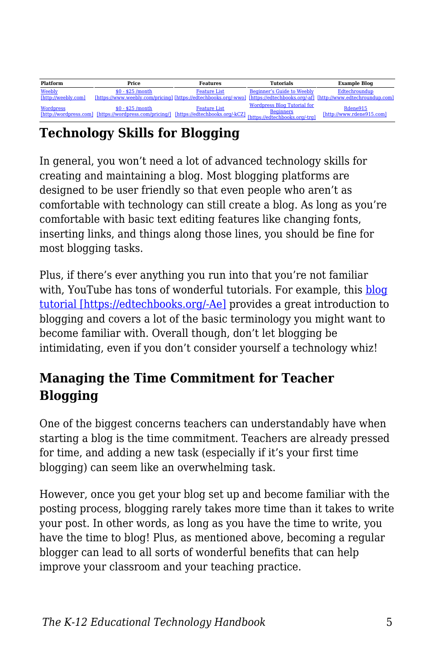| Platform                      | Price                                                                                                                                             | <b>Features</b>     | <b>Tutorials</b>                                       | <b>Example Blog</b>                   |
|-------------------------------|---------------------------------------------------------------------------------------------------------------------------------------------------|---------------------|--------------------------------------------------------|---------------------------------------|
| Weebly<br>[http://weebly.com] | $$0 - $25$ /month<br>[https://www.weebly.com/pricing] [https://edtechbooks.org/-wwo] [https://edtechbooks.org/-af] [http://www.edtechroundup.com] | <b>Feature List</b> | <b>Beginner's Guide to Weebly</b>                      | Edtechroundup                         |
| <b>Wordpress</b>              | $$0 - $25$ /month<br>Thttp://wordpress.com/pricing/l [https://edtechbooks.org/-kCZ] [https://edtechbooks.org/-kCZ] [https://edtechbooks.org/-kCZ] | <b>Feature List</b> | <b>Wordpress Blog Tutorial for</b><br><b>Beginners</b> | Rdene915<br>[http://www.rdene915.com] |

## **Technology Skills for Blogging**

In general, you won't need a lot of advanced technology skills for creating and maintaining a blog. Most blogging platforms are designed to be user friendly so that even people who aren't as comfortable with technology can still create a blog. As long as you're comfortable with basic text editing features like changing fonts, inserting links, and things along those lines, you should be fine for most blogging tasks.

Plus, if there's ever anything you run into that you're not familiar with, YouTube has tons of wonderful tutorials. For example, this [blog](https://www.youtube.com/watch?v=NjwUHXoi8lM) [tutorial \[https://edtechbooks.org/-Ae\]](https://www.youtube.com/watch?v=NjwUHXoi8lM) provides a great introduction to blogging and covers a lot of the basic terminology you might want to become familiar with. Overall though, don't let blogging be intimidating, even if you don't consider yourself a technology whiz!

### **Managing the Time Commitment for Teacher Blogging**

One of the biggest concerns teachers can understandably have when starting a blog is the time commitment. Teachers are already pressed for time, and adding a new task (especially if it's your first time blogging) can seem like an overwhelming task.

However, once you get your blog set up and become familiar with the posting process, blogging rarely takes more time than it takes to write your post. In other words, as long as you have the time to write, you have the time to blog! Plus, as mentioned above, becoming a regular blogger can lead to all sorts of wonderful benefits that can help improve your classroom and your teaching practice.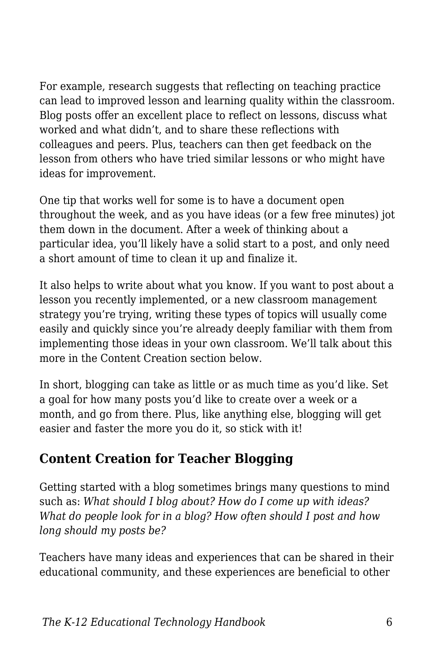For example, research suggests that reflecting on teaching practice can lead to improved lesson and learning quality within the classroom. Blog posts offer an excellent place to reflect on lessons, discuss what worked and what didn't, and to share these reflections with colleagues and peers. Plus, teachers can then get feedback on the lesson from others who have tried similar lessons or who might have ideas for improvement.

One tip that works well for some is to have a document open throughout the week, and as you have ideas (or a few free minutes) jot them down in the document. After a week of thinking about a particular idea, you'll likely have a solid start to a post, and only need a short amount of time to clean it up and finalize it.

It also helps to write about what you know. If you want to post about a lesson you recently implemented, or a new classroom management strategy you're trying, writing these types of topics will usually come easily and quickly since you're already deeply familiar with them from implementing those ideas in your own classroom. We'll talk about this more in the Content Creation section below.

In short, blogging can take as little or as much time as you'd like. Set a goal for how many posts you'd like to create over a week or a month, and go from there. Plus, like anything else, blogging will get easier and faster the more you do it, so stick with it!

## **Content Creation for Teacher Blogging**

Getting started with a blog sometimes brings many questions to mind such as: *What should I blog about? How do I come up with ideas? What do people look for in a blog? How often should I post and how long should my posts be?*

Teachers have many ideas and experiences that can be shared in their educational community, and these experiences are beneficial to other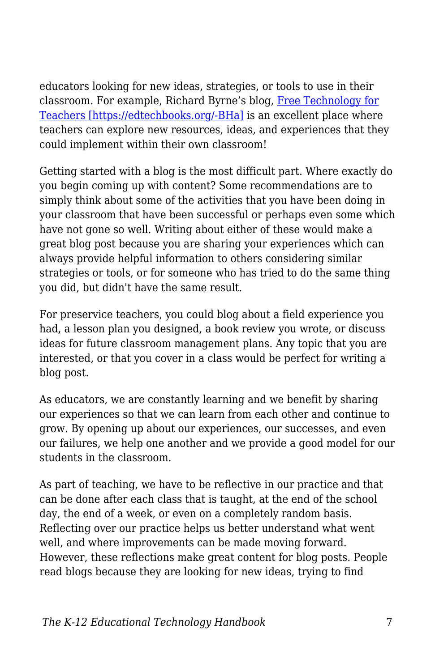educators looking for new ideas, strategies, or tools to use in their classroom. For example, Richard Byrne's blog, [Free Technology for](http://www.freetech4teachers.com/) [Teachers \[https://edtechbooks.org/-BHa\]](http://www.freetech4teachers.com/) is an excellent place where teachers can explore new resources, ideas, and experiences that they could implement within their own classroom!

Getting started with a blog is the most difficult part. Where exactly do you begin coming up with content? Some recommendations are to simply think about some of the activities that you have been doing in your classroom that have been successful or perhaps even some which have not gone so well. Writing about either of these would make a great blog post because you are sharing your experiences which can always provide helpful information to others considering similar strategies or tools, or for someone who has tried to do the same thing you did, but didn't have the same result.

For preservice teachers, you could blog about a field experience you had, a lesson plan you designed, a book review you wrote, or discuss ideas for future classroom management plans. Any topic that you are interested, or that you cover in a class would be perfect for writing a blog post.

As educators, we are constantly learning and we benefit by sharing our experiences so that we can learn from each other and continue to grow. By opening up about our experiences, our successes, and even our failures, we help one another and we provide a good model for our students in the classroom.

As part of teaching, we have to be reflective in our practice and that can be done after each class that is taught, at the end of the school day, the end of a week, or even on a completely random basis. Reflecting over our practice helps us better understand what went well, and where improvements can be made moving forward. However, these reflections make great content for blog posts. People read blogs because they are looking for new ideas, trying to find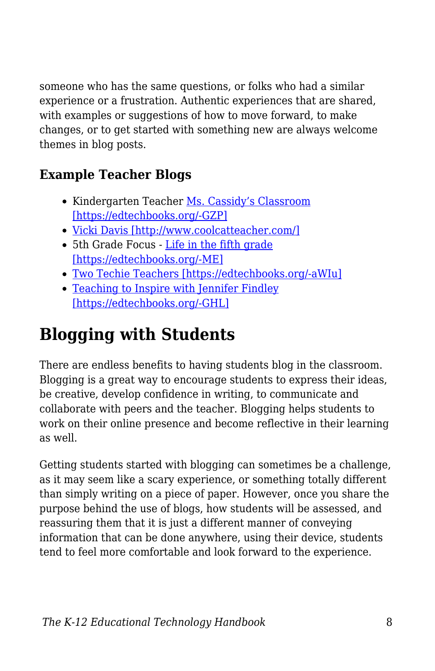someone who has the same questions, or folks who had a similar experience or a frustration. Authentic experiences that are shared, with examples or suggestions of how to move forward, to make changes, or to get started with something new are always welcome themes in blog posts.

## **Example Teacher Blogs**

- Kindergarten Teacher [Ms. Cassidy's Classroom](http://mscassidysclass.edublogs.org/) [\[https://edtechbooks.org/-GZP\]](http://mscassidysclass.edublogs.org/)
- [Vicki Davis \[http://www.coolcatteacher.com/\]](http://www.coolcatteacher.com/)
- 5th Grade Focus [Life in the fifth grade](http://www.lifeinfifthgrade.com/) [\[https://edtechbooks.org/-ME\]](http://www.lifeinfifthgrade.com/)
- [Two Techie Teachers \[https://edtechbooks.org/-aWIu\]](http://2techieteachers.blogspot.com/)
- [Teaching to Inspire with Jennifer Findley](http://teachingtoinspire.com/blog) [\[https://edtechbooks.org/-GHL\]](http://teachingtoinspire.com/blog)

## **Blogging with Students**

There are endless benefits to having students blog in the classroom. Blogging is a great way to encourage students to express their ideas, be creative, develop confidence in writing, to communicate and collaborate with peers and the teacher. Blogging helps students to work on their online presence and become reflective in their learning as well.

Getting students started with blogging can sometimes be a challenge, as it may seem like a scary experience, or something totally different than simply writing on a piece of paper. However, once you share the purpose behind the use of blogs, how students will be assessed, and reassuring them that it is just a different manner of conveying information that can be done anywhere, using their device, students tend to feel more comfortable and look forward to the experience.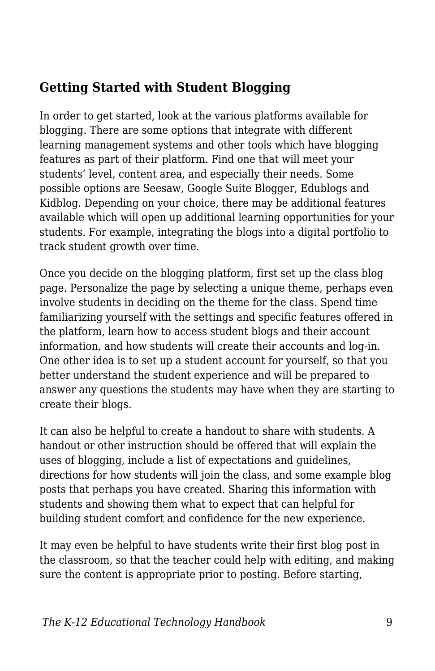### **Getting Started with Student Blogging**

In order to get started, look at the various platforms available for blogging. There are some options that integrate with different learning management systems and other tools which have blogging features as part of their platform. Find one that will meet your students' level, content area, and especially their needs. Some possible options are Seesaw, Google Suite Blogger, Edublogs and Kidblog. Depending on your choice, there may be additional features available which will open up additional learning opportunities for your students. For example, integrating the blogs into a digital portfolio to track student growth over time.

Once you decide on the blogging platform, first set up the class blog page. Personalize the page by selecting a unique theme, perhaps even involve students in deciding on the theme for the class. Spend time familiarizing yourself with the settings and specific features offered in the platform, learn how to access student blogs and their account information, and how students will create their accounts and log-in. One other idea is to set up a student account for yourself, so that you better understand the student experience and will be prepared to answer any questions the students may have when they are starting to create their blogs.

It can also be helpful to create a handout to share with students. A handout or other instruction should be offered that will explain the uses of blogging, include a list of expectations and guidelines, directions for how students will join the class, and some example blog posts that perhaps you have created. Sharing this information with students and showing them what to expect that can helpful for building student comfort and confidence for the new experience.

It may even be helpful to have students write their first blog post in the classroom, so that the teacher could help with editing, and making sure the content is appropriate prior to posting. Before starting,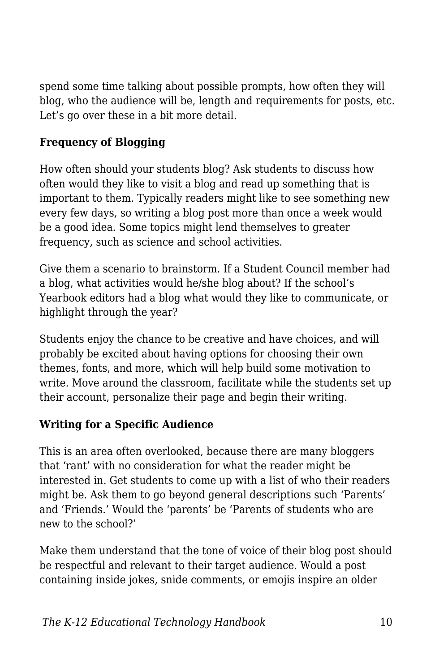spend some time talking about possible prompts, how often they will blog, who the audience will be, length and requirements for posts, etc. Let's go over these in a bit more detail.

#### **Frequency of Blogging**

How often should your students blog? Ask students to discuss how often would they like to visit a blog and read up something that is important to them. Typically readers might like to see something new every few days, so writing a blog post more than once a week would be a good idea. Some topics might lend themselves to greater frequency, such as science and school activities.

Give them a scenario to brainstorm. If a Student Council member had a blog, what activities would he/she blog about? If the school's Yearbook editors had a blog what would they like to communicate, or highlight through the year?

Students enjoy the chance to be creative and have choices, and will probably be excited about having options for choosing their own themes, fonts, and more, which will help build some motivation to write. Move around the classroom, facilitate while the students set up their account, personalize their page and begin their writing.

#### **Writing for a Specific Audience**

This is an area often overlooked, because there are many bloggers that 'rant' with no consideration for what the reader might be interested in. Get students to come up with a list of who their readers might be. Ask them to go beyond general descriptions such 'Parents' and 'Friends.' Would the 'parents' be 'Parents of students who are new to the school?'

Make them understand that the tone of voice of their blog post should be respectful and relevant to their target audience. Would a post containing inside jokes, snide comments, or emojis inspire an older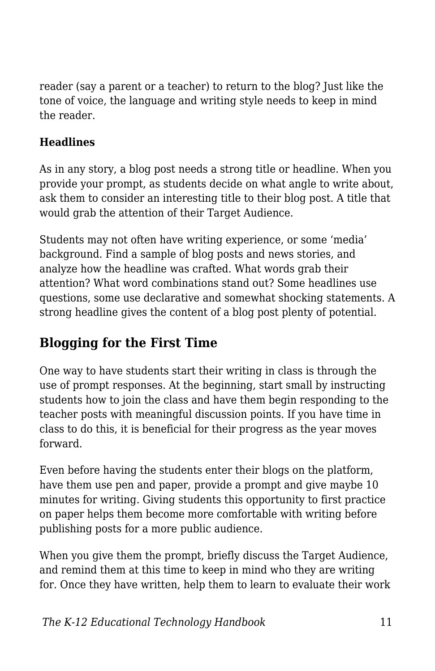reader (say a parent or a teacher) to return to the blog? Just like the tone of voice, the language and writing style needs to keep in mind the reader.

#### **Headlines**

As in any story, a blog post needs a strong title or headline. When you provide your prompt, as students decide on what angle to write about, ask them to consider an interesting title to their blog post. A title that would grab the attention of their Target Audience.

Students may not often have writing experience, or some 'media' background. Find a sample of blog posts and news stories, and analyze how the headline was crafted. What words grab their attention? What word combinations stand out? Some headlines use questions, some use declarative and somewhat shocking statements. A strong headline gives the content of a blog post plenty of potential.

## **Blogging for the First Time**

One way to have students start their writing in class is through the use of prompt responses. At the beginning, start small by instructing students how to join the class and have them begin responding to the teacher posts with meaningful discussion points. If you have time in class to do this, it is beneficial for their progress as the year moves forward.

Even before having the students enter their blogs on the platform, have them use pen and paper, provide a prompt and give maybe 10 minutes for writing. Giving students this opportunity to first practice on paper helps them become more comfortable with writing before publishing posts for a more public audience.

When you give them the prompt, briefly discuss the Target Audience, and remind them at this time to keep in mind who they are writing for. Once they have written, help them to learn to evaluate their work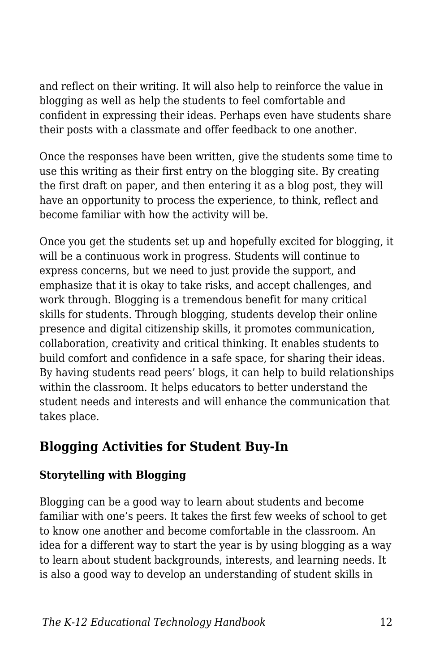and reflect on their writing. It will also help to reinforce the value in blogging as well as help the students to feel comfortable and confident in expressing their ideas. Perhaps even have students share their posts with a classmate and offer feedback to one another.

Once the responses have been written, give the students some time to use this writing as their first entry on the blogging site. By creating the first draft on paper, and then entering it as a blog post, they will have an opportunity to process the experience, to think, reflect and become familiar with how the activity will be.

Once you get the students set up and hopefully excited for blogging, it will be a continuous work in progress. Students will continue to express concerns, but we need to just provide the support, and emphasize that it is okay to take risks, and accept challenges, and work through. Blogging is a tremendous benefit for many critical skills for students. Through blogging, students develop their online presence and digital citizenship skills, it promotes communication, collaboration, creativity and critical thinking. It enables students to build comfort and confidence in a safe space, for sharing their ideas. By having students read peers' blogs, it can help to build relationships within the classroom. It helps educators to better understand the student needs and interests and will enhance the communication that takes place.

### **Blogging Activities for Student Buy-In**

#### **Storytelling with Blogging**

Blogging can be a good way to learn about students and become familiar with one's peers. It takes the first few weeks of school to get to know one another and become comfortable in the classroom. An idea for a different way to start the year is by using blogging as a way to learn about student backgrounds, interests, and learning needs. It is also a good way to develop an understanding of student skills in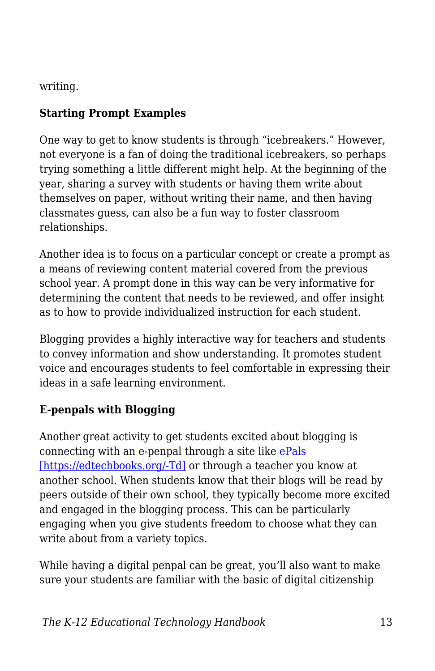writing.

#### **Starting Prompt Examples**

One way to get to know students is through "icebreakers." However, not everyone is a fan of doing the traditional icebreakers, so perhaps trying something a little different might help. At the beginning of the year, sharing a survey with students or having them write about themselves on paper, without writing their name, and then having classmates guess, can also be a fun way to foster classroom relationships.

Another idea is to focus on a particular concept or create a prompt as a means of reviewing content material covered from the previous school year. A prompt done in this way can be very informative for determining the content that needs to be reviewed, and offer insight as to how to provide individualized instruction for each student.

Blogging provides a highly interactive way for teachers and students to convey information and show understanding. It promotes student voice and encourages students to feel comfortable in expressing their ideas in a safe learning environment.

#### **E-penpals with Blogging**

Another great activity to get students excited about blogging is connecting with an e-penpal through a site like [ePals](https://www.epals.com/#/connections) [\[https://edtechbooks.org/-Td\]](https://www.epals.com/#/connections) or through a teacher you know at another school. When students know that their blogs will be read by peers outside of their own school, they typically become more excited and engaged in the blogging process. This can be particularly engaging when you give students freedom to choose what they can write about from a variety topics.

While having a digital penpal can be great, you'll also want to make sure your students are familiar with the basic of digital citizenship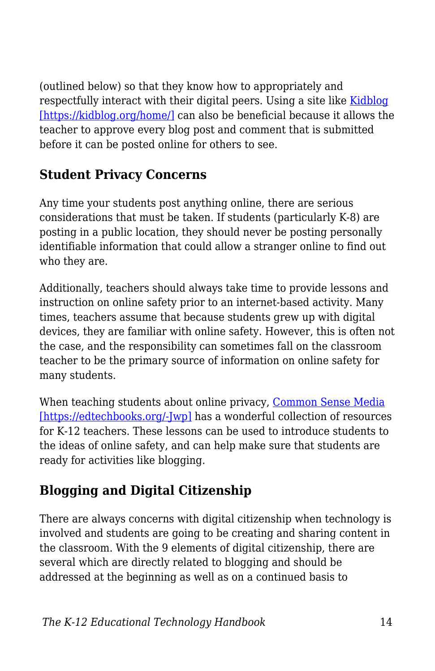(outlined below) so that they know how to appropriately and respectfully interact with their digital peers. Using a site like [Kidblog](https://kidblog.org/home/) [\[https://kidblog.org/home/\]](https://kidblog.org/home/) can also be beneficial because it allows the teacher to approve every blog post and comment that is submitted before it can be posted online for others to see.

## **Student Privacy Concerns**

Any time your students post anything online, there are serious considerations that must be taken. If students (particularly K-8) are posting in a public location, they should never be posting personally identifiable information that could allow a stranger online to find out who they are.

Additionally, teachers should always take time to provide lessons and instruction on online safety prior to an internet-based activity. Many times, teachers assume that because students grew up with digital devices, they are familiar with online safety. However, this is often not the case, and the responsibility can sometimes fall on the classroom teacher to be the primary source of information on online safety for many students.

When teaching students about online privacy, [Common Sense Media](https://www.commonsense.org/education/digital-citizenship/privacy-and-security) [\[https://edtechbooks.org/-Jwp\]](https://www.commonsense.org/education/digital-citizenship/privacy-and-security) has a wonderful collection of resources for K-12 teachers. These lessons can be used to introduce students to the ideas of online safety, and can help make sure that students are ready for activities like blogging.

## **Blogging and Digital Citizenship**

There are always concerns with digital citizenship when technology is involved and students are going to be creating and sharing content in the classroom. With the 9 elements of digital citizenship, there are several which are directly related to blogging and should be addressed at the beginning as well as on a continued basis to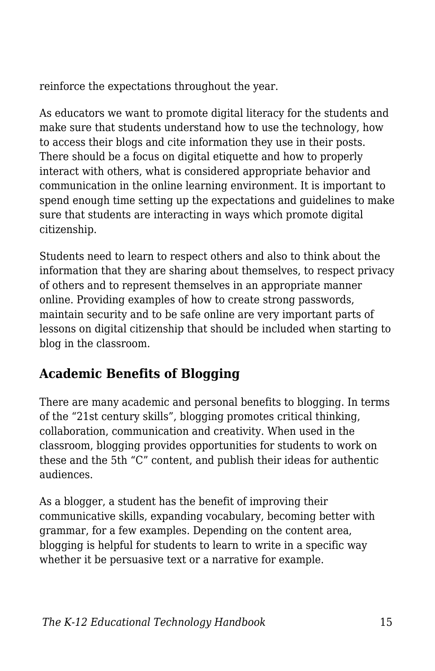reinforce the expectations throughout the year.

As educators we want to promote digital literacy for the students and make sure that students understand how to use the technology, how to access their blogs and cite information they use in their posts. There should be a focus on digital etiquette and how to properly interact with others, what is considered appropriate behavior and communication in the online learning environment. It is important to spend enough time setting up the expectations and guidelines to make sure that students are interacting in ways which promote digital citizenship.

Students need to learn to respect others and also to think about the information that they are sharing about themselves, to respect privacy of others and to represent themselves in an appropriate manner online. Providing examples of how to create strong passwords, maintain security and to be safe online are very important parts of lessons on digital citizenship that should be included when starting to blog in the classroom.

## **Academic Benefits of Blogging**

There are many academic and personal benefits to blogging. In terms of the "21st century skills", blogging promotes critical thinking, collaboration, communication and creativity. When used in the classroom, blogging provides opportunities for students to work on these and the 5th "C" content, and publish their ideas for authentic audiences.

As a blogger, a student has the benefit of improving their communicative skills, expanding vocabulary, becoming better with grammar, for a few examples. Depending on the content area, blogging is helpful for students to learn to write in a specific way whether it be persuasive text or a narrative for example.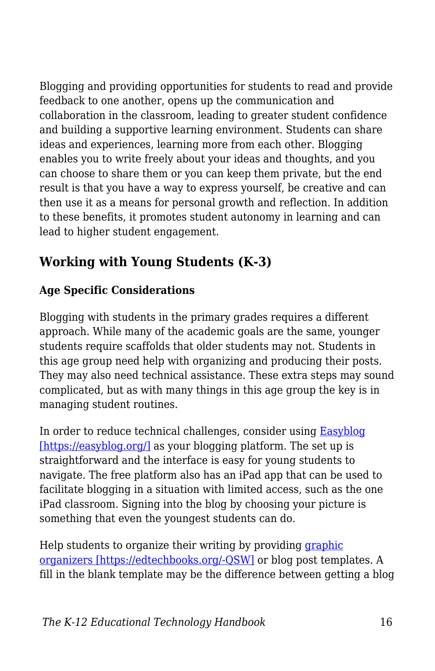Blogging and providing opportunities for students to read and provide feedback to one another, opens up the communication and collaboration in the classroom, leading to greater student confidence and building a supportive learning environment. Students can share ideas and experiences, learning more from each other. Blogging enables you to write freely about your ideas and thoughts, and you can choose to share them or you can keep them private, but the end result is that you have a way to express yourself, be creative and can then use it as a means for personal growth and reflection. In addition to these benefits, it promotes student autonomy in learning and can lead to higher student engagement.

## **Working with Young Students (K-3)**

#### **Age Specific Considerations**

Blogging with students in the primary grades requires a different approach. While many of the academic goals are the same, younger students require scaffolds that older students may not. Students in this age group need help with organizing and producing their posts. They may also need technical assistance. These extra steps may sound complicated, but as with many things in this age group the key is in managing student routines.

In order to reduce technical challenges, consider using **Easyblog** [\[https://easyblog.org/\]](https://easyblog.org/) as your blogging platform. The set up is straightforward and the interface is easy for young students to navigate. The free platform also has an iPad app that can be used to facilitate blogging in a situation with limited access, such as the one iPad classroom. Signing into the blog by choosing your picture is something that even the youngest students can do.

Help students to organize their writing by providing *[graphic](https://www.eduplace.com/kids/hme/k_5/graphorg/)* [organizers \[https://edtechbooks.org/-QSW\]](https://www.eduplace.com/kids/hme/k_5/graphorg/) or blog post templates. A fill in the blank template may be the difference between getting a blog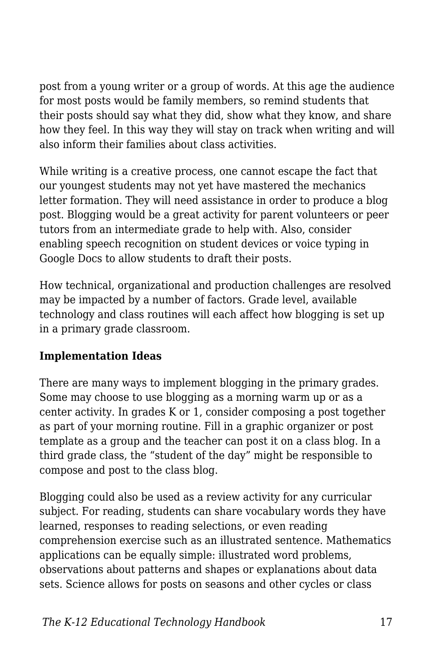post from a young writer or a group of words. At this age the audience for most posts would be family members, so remind students that their posts should say what they did, show what they know, and share how they feel. In this way they will stay on track when writing and will also inform their families about class activities.

While writing is a creative process, one cannot escape the fact that our youngest students may not yet have mastered the mechanics letter formation. They will need assistance in order to produce a blog post. Blogging would be a great activity for parent volunteers or peer tutors from an intermediate grade to help with. Also, consider enabling speech recognition on student devices or voice typing in Google Docs to allow students to draft their posts.

How technical, organizational and production challenges are resolved may be impacted by a number of factors. Grade level, available technology and class routines will each affect how blogging is set up in a primary grade classroom.

#### **Implementation Ideas**

There are many ways to implement blogging in the primary grades. Some may choose to use blogging as a morning warm up or as a center activity. In grades K or 1, consider composing a post together as part of your morning routine. Fill in a graphic organizer or post template as a group and the teacher can post it on a class blog. In a third grade class, the "student of the day" might be responsible to compose and post to the class blog.

Blogging could also be used as a review activity for any curricular subject. For reading, students can share vocabulary words they have learned, responses to reading selections, or even reading comprehension exercise such as an illustrated sentence. Mathematics applications can be equally simple: illustrated word problems, observations about patterns and shapes or explanations about data sets. Science allows for posts on seasons and other cycles or class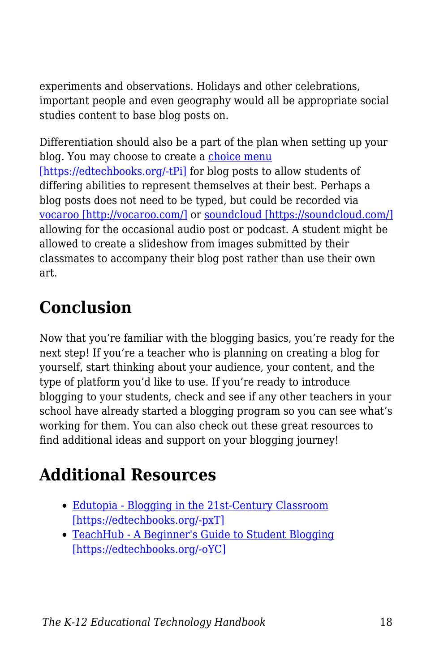experiments and observations. Holidays and other celebrations, important people and even geography would all be appropriate social studies content to base blog posts on.

Differentiation should also be a part of the plan when setting up your blog. You may choose to create a [choice menu](https://daretodifferentiate.wikispaces.com/Choice+Boards) [\[https://edtechbooks.org/-tPi\]](https://daretodifferentiate.wikispaces.com/Choice+Boards) for blog posts to allow students of differing abilities to represent themselves at their best. Perhaps a blog posts does not need to be typed, but could be recorded via [vocaroo \[http://vocaroo.com/\]](http://vocaroo.com/) or [soundcloud \[https://soundcloud.com/\]](https://soundcloud.com/) allowing for the occasional audio post or podcast. A student might be allowed to create a slideshow from images submitted by their classmates to accompany their blog post rather than use their own art.

## **Conclusion**

Now that you're familiar with the blogging basics, you're ready for the next step! If you're a teacher who is planning on creating a blog for yourself, start thinking about your audience, your content, and the type of platform you'd like to use. If you're ready to introduce blogging to your students, check and see if any other teachers in your school have already started a blogging program so you can see what's working for them. You can also check out these great resources to find additional ideas and support on your blogging journey!

## **Additional Resources**

- [Edutopia Blogging in the 21st-Century Classroom](https://www.edutopia.org/blog/blogging-in-21st-century-classroom-michelle-lampinen) [\[https://edtechbooks.org/-pxT\]](https://www.edutopia.org/blog/blogging-in-21st-century-classroom-michelle-lampinen)
- [TeachHub A Beginner's Guide to Student Blogging](http://www.teachhub.com/beginners-guide-student-blogging) [\[https://edtechbooks.org/-oYC\]](http://www.teachhub.com/beginners-guide-student-blogging)